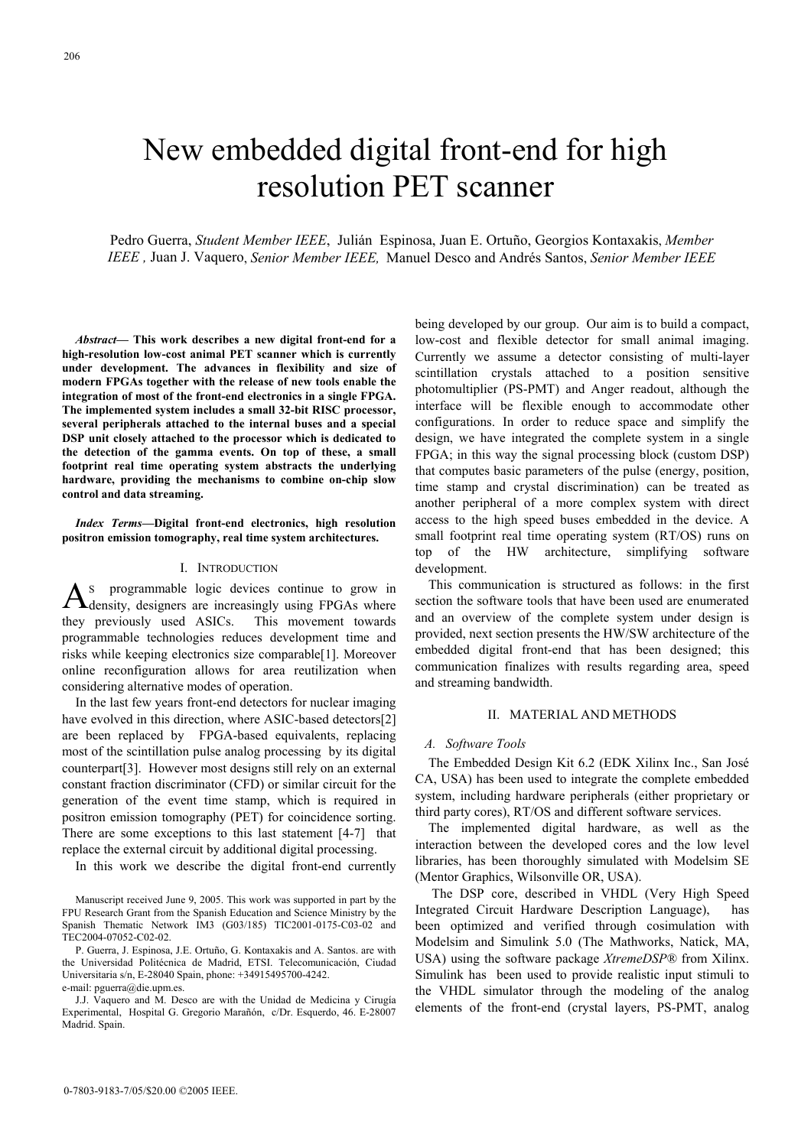# New embedded digital front-end for high resolution PET scanner

Pedro Guerra, *Student Member IEEE*, Julián Espinosa, Juan E. Ortuño, Georgios Kontaxakis, *Member IEEE ,* Juan J. Vaquero, *Senior Member IEEE,* Manuel Desco and Andrés Santos, *Senior Member IEEE*

*Abstract***— This work describes a new digital front-end for a high-resolution low-cost animal PET scanner which is currently under development. The advances in flexibility and size of modern FPGAs together with the release of new tools enable the integration of most of the front-end electronics in a single FPGA. The implemented system includes a small 32-bit RISC processor, several peripherals attached to the internal buses and a special DSP unit closely attached to the processor which is dedicated to the detection of the gamma events. On top of these, a small footprint real time operating system abstracts the underlying hardware, providing the mechanisms to combine on-chip slow control and data streaming.** 

*Index Terms***—Digital front-end electronics, high resolution positron emission tomography, real time system architectures.** 

#### I. INTRODUCTION

S programmable logic devices continue to grow in As programmable logic devices continue to grow in density, designers are increasingly using FPGAs where they previously used ASICs. This movement towards programmable technologies reduces development time and risks while keeping electronics size comparable[1]. Moreover online reconfiguration allows for area reutilization when considering alternative modes of operation.

In the last few years front-end detectors for nuclear imaging have evolved in this direction, where ASIC-based detectors[2] are been replaced by FPGA-based equivalents, replacing most of the scintillation pulse analog processing by its digital counterpart[3]. However most designs still rely on an external constant fraction discriminator (CFD) or similar circuit for the generation of the event time stamp, which is required in positron emission tomography (PET) for coincidence sorting. There are some exceptions to this last statement [4-7] that replace the external circuit by additional digital processing.

In this work we describe the digital front-end currently

Manuscript received June 9, 2005. This work was supported in part by the FPU Research Grant from the Spanish Education and Science Ministry by the Spanish Thematic Network IM3 (G03/185) TIC2001-0175-C03-02 and TEC2004-07052-C02-02.

P. Guerra, J. Espinosa, J.E. Ortuño, G. Kontaxakis and A. Santos. are with the Universidad Politécnica de Madrid, ETSI. Telecomunicación, Ciudad Universitaria s/n, E-28040 Spain, phone: +34915495700-4242. e-mail: pguerra@die.upm.es.

J.J. Vaquero and M. Desco are with the Unidad de Medicina y Cirugía Experimental, Hospital G. Gregorio Marañón, c/Dr. Esquerdo, 46. E-28007 Madrid. Spain.

being developed by our group. Our aim is to build a compact, low-cost and flexible detector for small animal imaging. Currently we assume a detector consisting of multi-layer scintillation crystals attached to a position sensitive photomultiplier (PS-PMT) and Anger readout, although the interface will be flexible enough to accommodate other configurations. In order to reduce space and simplify the design, we have integrated the complete system in a single FPGA; in this way the signal processing block (custom DSP) that computes basic parameters of the pulse (energy, position, time stamp and crystal discrimination) can be treated as another peripheral of a more complex system with direct access to the high speed buses embedded in the device. A small footprint real time operating system (RT/OS) runs on top of the HW architecture, simplifying software development.

This communication is structured as follows: in the first section the software tools that have been used are enumerated and an overview of the complete system under design is provided, next section presents the HW/SW architecture of the embedded digital front-end that has been designed; this communication finalizes with results regarding area, speed and streaming bandwidth.

### II. MATERIAL AND METHODS

# *A. Software Tools*

The Embedded Design Kit 6.2 (EDK Xilinx Inc., San José CA, USA) has been used to integrate the complete embedded system, including hardware peripherals (either proprietary or third party cores), RT/OS and different software services.

The implemented digital hardware, as well as the interaction between the developed cores and the low level libraries, has been thoroughly simulated with Modelsim SE (Mentor Graphics, Wilsonville OR, USA).

 The DSP core, described in VHDL (Very High Speed Integrated Circuit Hardware Description Language), has been optimized and verified through cosimulation with Modelsim and Simulink 5.0 (The Mathworks, Natick, MA, USA) using the software package *XtremeDSP®* from Xilinx. Simulink has been used to provide realistic input stimuli to the VHDL simulator through the modeling of the analog elements of the front-end (crystal layers, PS-PMT, analog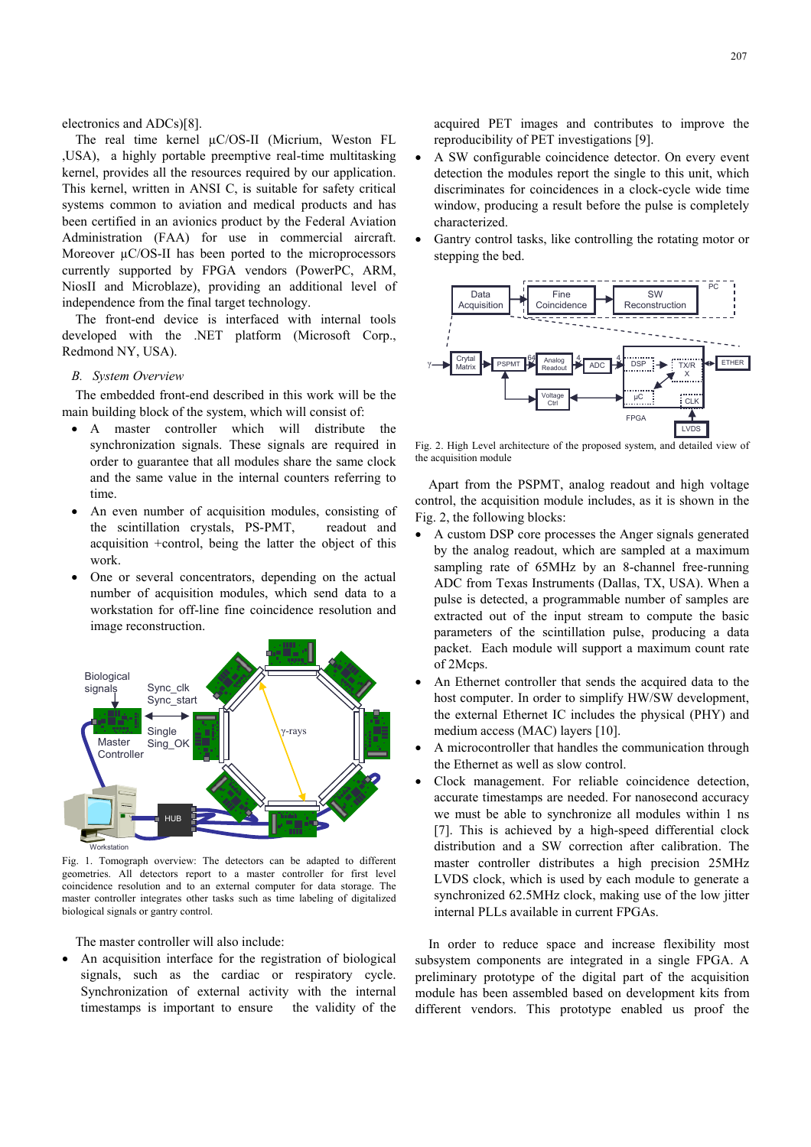## electronics and ADCs)[8].

The real time kernel μC/OS-II (Micrium, Weston FL ,USA), a highly portable preemptive real-time multitasking kernel, provides all the resources required by our application. This kernel, written in ANSI C, is suitable for safety critical systems common to aviation and medical products and has been certified in an avionics product by the Federal Aviation Administration (FAA) for use in commercial aircraft. Moreover  $\mu$ C/OS-II has been ported to the microprocessors currently supported by FPGA vendors (PowerPC, ARM, NiosII and Microblaze), providing an additional level of independence from the final target technology.

The front-end device is interfaced with internal tools developed with the .NET platform (Microsoft Corp., Redmond NY, USA).

# *B. System Overview*

The embedded front-end described in this work will be the main building block of the system, which will consist of:

- A master controller which will distribute the synchronization signals. These signals are required in order to guarantee that all modules share the same clock and the same value in the internal counters referring to time.
- An even number of acquisition modules, consisting of the scintillation crystals, PS-PMT, readout and acquisition +control, being the latter the object of this work.
- One or several concentrators, depending on the actual number of acquisition modules, which send data to a workstation for off-line fine coincidence resolution and image reconstruction.



Fig. 1. Tomograph overview: The detectors can be adapted to different geometries. All detectors report to a master controller for first level coincidence resolution and to an external computer for data storage. The master controller integrates other tasks such as time labeling of digitalized biological signals or gantry control.

The master controller will also include:

An acquisition interface for the registration of biological signals, such as the cardiac or respiratory cycle. Synchronization of external activity with the internal timestamps is important to ensure the validity of the acquired PET images and contributes to improve the reproducibility of PET investigations [9].

- A SW configurable coincidence detector. On every event detection the modules report the single to this unit, which discriminates for coincidences in a clock-cycle wide time window, producing a result before the pulse is completely characterized.
- Gantry control tasks, like controlling the rotating motor or stepping the bed.



Fig. 2. High Level architecture of the proposed system, and detailed view of the acquisition module

Apart from the PSPMT, analog readout and high voltage control, the acquisition module includes, as it is shown in the Fig. 2, the following blocks:

- A custom DSP core processes the Anger signals generated by the analog readout, which are sampled at a maximum sampling rate of 65MHz by an 8-channel free-running ADC from Texas Instruments (Dallas, TX, USA). When a pulse is detected, a programmable number of samples are extracted out of the input stream to compute the basic parameters of the scintillation pulse, producing a data packet. Each module will support a maximum count rate of 2Mcps.
- An Ethernet controller that sends the acquired data to the host computer. In order to simplify HW/SW development, the external Ethernet IC includes the physical (PHY) and medium access (MAC) layers [10].
- A microcontroller that handles the communication through the Ethernet as well as slow control.
- Clock management. For reliable coincidence detection, accurate timestamps are needed. For nanosecond accuracy we must be able to synchronize all modules within 1 ns [7]. This is achieved by a high-speed differential clock distribution and a SW correction after calibration. The master controller distributes a high precision 25MHz LVDS clock, which is used by each module to generate a synchronized 62.5MHz clock, making use of the low jitter internal PLLs available in current FPGAs.

In order to reduce space and increase flexibility most subsystem components are integrated in a single FPGA. A preliminary prototype of the digital part of the acquisition module has been assembled based on development kits from different vendors. This prototype enabled us proof the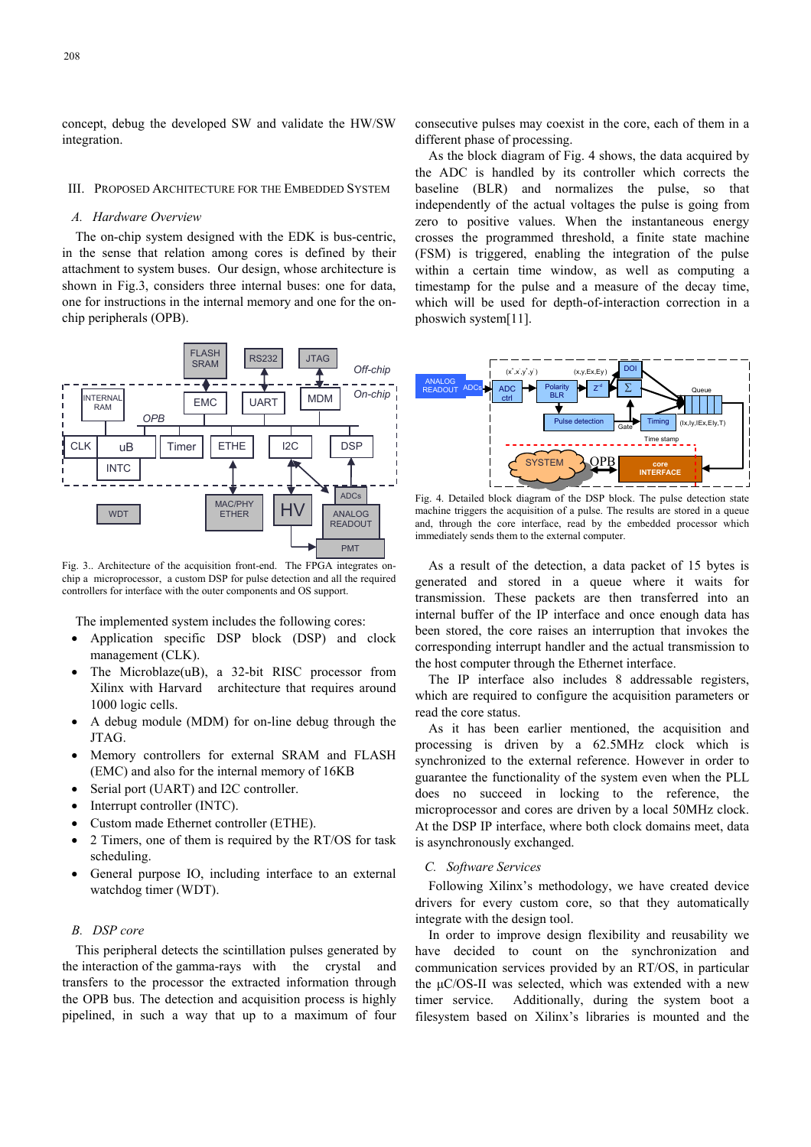concept, debug the developed SW and validate the HW/SW integration.

# III. PROPOSED ARCHITECTURE FOR THE EMBEDDED SYSTEM

## *A. Hardware Overview*

The on-chip system designed with the EDK is bus-centric, in the sense that relation among cores is defined by their attachment to system buses. Our design, whose architecture is shown in Fig.3, considers three internal buses: one for data, one for instructions in the internal memory and one for the onchip peripherals (OPB).



Fig. 3.. Architecture of the acquisition front-end. The FPGA integrates onchip a microprocessor, a custom DSP for pulse detection and all the required controllers for interface with the outer components and OS support.

The implemented system includes the following cores:

- Application specific DSP block (DSP) and clock management (CLK).
- The Microblaze( $uB$ ), a 32-bit RISC processor from Xilinx with Harvard architecture that requires around 1000 logic cells.
- x A debug module (MDM) for on-line debug through the JTAG.
- Memory controllers for external SRAM and FLASH (EMC) and also for the internal memory of 16KB
- Serial port (UART) and I2C controller.
- Interrupt controller (INTC).
- x Custom made Ethernet controller (ETHE).
- 2 Timers, one of them is required by the RT/OS for task scheduling.
- General purpose IO, including interface to an external watchdog timer (WDT).

# *B. DSP core*

This peripheral detects the scintillation pulses generated by the interaction of the gamma-rays with the crystal and transfers to the processor the extracted information through the OPB bus. The detection and acquisition process is highly pipelined, in such a way that up to a maximum of four consecutive pulses may coexist in the core, each of them in a different phase of processing.

As the block diagram of Fig. 4 shows, the data acquired by the ADC is handled by its controller which corrects the baseline (BLR) and normalizes the pulse, so that independently of the actual voltages the pulse is going from zero to positive values. When the instantaneous energy crosses the programmed threshold, a finite state machine (FSM) is triggered, enabling the integration of the pulse within a certain time window, as well as computing a timestamp for the pulse and a measure of the decay time, which will be used for depth-of-interaction correction in a phoswich system[11].



Fig. 4. Detailed block diagram of the DSP block. The pulse detection state machine triggers the acquisition of a pulse. The results are stored in a queue and, through the core interface, read by the embedded processor which immediately sends them to the external computer.

As a result of the detection, a data packet of 15 bytes is generated and stored in a queue where it waits for transmission. These packets are then transferred into an internal buffer of the IP interface and once enough data has been stored, the core raises an interruption that invokes the corresponding interrupt handler and the actual transmission to the host computer through the Ethernet interface.

The IP interface also includes 8 addressable registers, which are required to configure the acquisition parameters or read the core status.

As it has been earlier mentioned, the acquisition and processing is driven by a 62.5MHz clock which is synchronized to the external reference. However in order to guarantee the functionality of the system even when the PLL does no succeed in locking to the reference, the microprocessor and cores are driven by a local 50MHz clock. At the DSP IP interface, where both clock domains meet, data is asynchronously exchanged.

#### *C. Software Services*

Following Xilinx's methodology, we have created device drivers for every custom core, so that they automatically integrate with the design tool.

In order to improve design flexibility and reusability we have decided to count on the synchronization and communication services provided by an RT/OS, in particular the μC/OS-II was selected, which was extended with a new timer service. Additionally, during the system boot a filesystem based on Xilinx's libraries is mounted and the